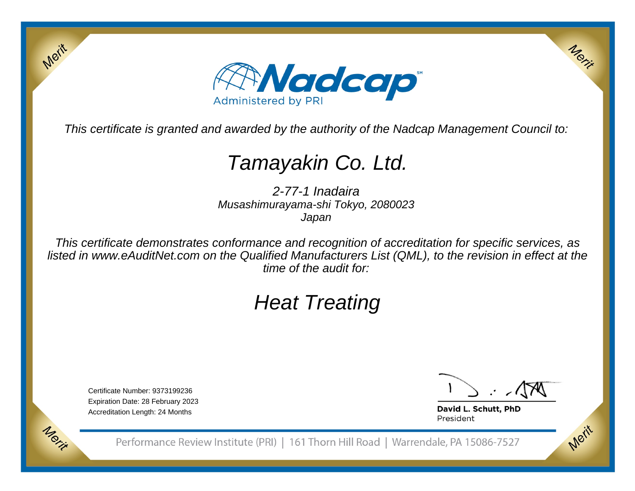

This certificate is granted and awarded by the authority of the Nadcap Management Council to:

# Tamayakin Co. Ltd.

2-77-1 Inadaira Musashimurayama-shi Tokyo, 2080023Japan

This certificate demonstrates conformance and recognition of accreditation for specific services, as listed in www.eAuditNet.com on the Qualified Manufacturers List (QML), to the revision in effect at thetime of the audit for:

# Heat Treating

Certificate Number: 9373199236 Expiration Date: 28 February 2023Accreditation Length: 24 Months

Merit

Merit

Merit

Merit

David L. Schutt, PhD President

Performance Review Institute (PRI) | 161 Thorn Hill Road | Warrendale, PA 15086-7527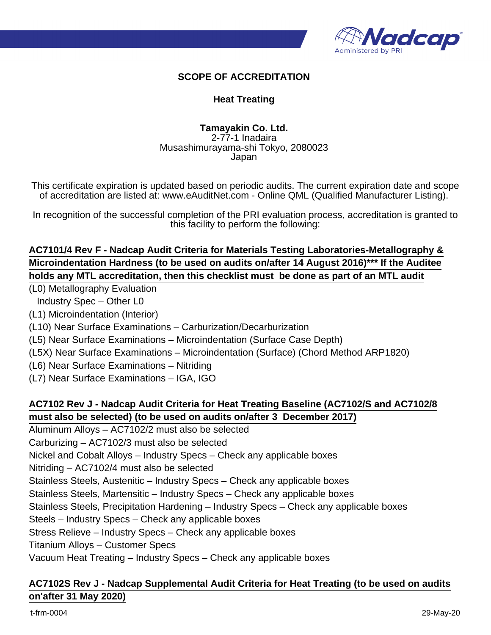

#### **SCOPE OF ACCREDITATION**

#### **Heat Treating**

#### **Tamayakin Co. Ltd.**

2-77-1 Inadaira Musashimurayama-shi Tokyo, 2080023 Japan

This certificate expiration is updated based on periodic audits. The current expiration date and scope of accreditation are listed at: www.eAuditNet.com - Online QML (Qualified Manufacturer Listing).

In recognition of the successful completion of the PRI evaluation process, accreditation is granted to this facility to perform the following:

#### **AC7101/4 Rev F - Nadcap Audit Criteria for Materials Testing Laboratories-Metallography & Microindentation Hardness (to be used on audits on/after 14 August 2016)\*\*\* If the Auditee holds any MTL accreditation, then this checklist must be done as part of an MTL audit**

(L0) Metallography Evaluation

- Industry Spec Other L0
- (L1) Microindentation (Interior)
- (L10) Near Surface Examinations Carburization/Decarburization
- (L5) Near Surface Examinations Microindentation (Surface Case Depth)
- (L5X) Near Surface Examinations Microindentation (Surface) (Chord Method ARP1820)
- (L6) Near Surface Examinations Nitriding
- (L7) Near Surface Examinations IGA, IGO

### **AC7102 Rev J - Nadcap Audit Criteria for Heat Treating Baseline (AC7102/S and AC7102/8 must also be selected) (to be used on audits on/after 3 December 2017)**

Aluminum Alloys – AC7102/2 must also be selected Carburizing – AC7102/3 must also be selected

Nickel and Cobalt Alloys – Industry Specs – Check any applicable boxes

Nitriding – AC7102/4 must also be selected

Stainless Steels, Austenitic – Industry Specs – Check any applicable boxes

Stainless Steels, Martensitic – Industry Specs – Check any applicable boxes

Stainless Steels, Precipitation Hardening – Industry Specs – Check any applicable boxes

Steels – Industry Specs – Check any applicable boxes

Stress Relieve – Industry Specs – Check any applicable boxes

Titanium Alloys – Customer Specs

Vacuum Heat Treating – Industry Specs – Check any applicable boxes

#### **AC7102S Rev J - Nadcap Supplemental Audit Criteria for Heat Treating (to be used on audits on'after 31 May 2020)**